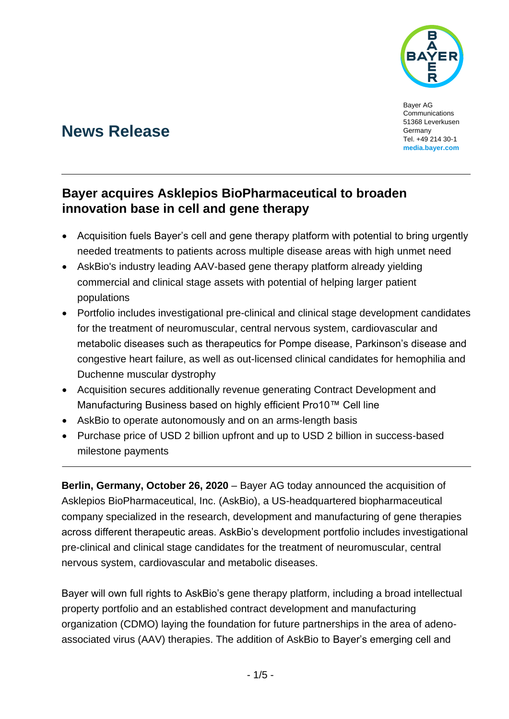

Bayer AG Communications 51368 Leverkusen Germany Tel. +49 214 30-1 **media.bayer.com**

# **News Release**

## **Bayer acquires Asklepios BioPharmaceutical to broaden innovation base in cell and gene therapy**

- Acquisition fuels Bayer's cell and gene therapy platform with potential to bring urgently needed treatments to patients across multiple disease areas with high unmet need
- AskBio's industry leading AAV-based gene therapy platform already yielding commercial and clinical stage assets with potential of helping larger patient populations
- Portfolio includes investigational pre-clinical and clinical stage development candidates for the treatment of neuromuscular, central nervous system, cardiovascular and metabolic diseases such as therapeutics for Pompe disease, Parkinson's disease and congestive heart failure, as well as out-licensed clinical candidates for hemophilia and Duchenne muscular dystrophy
- Acquisition secures additionally revenue generating Contract Development and Manufacturing Business based on highly efficient Pro10™ Cell line
- AskBio to operate autonomously and on an arms-length basis
- Purchase price of USD 2 billion upfront and up to USD 2 billion in success-based milestone payments

**Berlin, Germany, October 26, 2020** – Bayer AG today announced the acquisition of Asklepios BioPharmaceutical, Inc. (AskBio), a US-headquartered biopharmaceutical company specialized in the research, development and manufacturing of gene therapies across different therapeutic areas. AskBio's development portfolio includes investigational pre-clinical and clinical stage candidates for the treatment of neuromuscular, central nervous system, cardiovascular and metabolic diseases.

Bayer will own full rights to AskBio's gene therapy platform, including a broad intellectual property portfolio and an established contract development and manufacturing organization (CDMO) laying the foundation for future partnerships in the area of adenoassociated virus (AAV) therapies. The addition of AskBio to Bayer's emerging cell and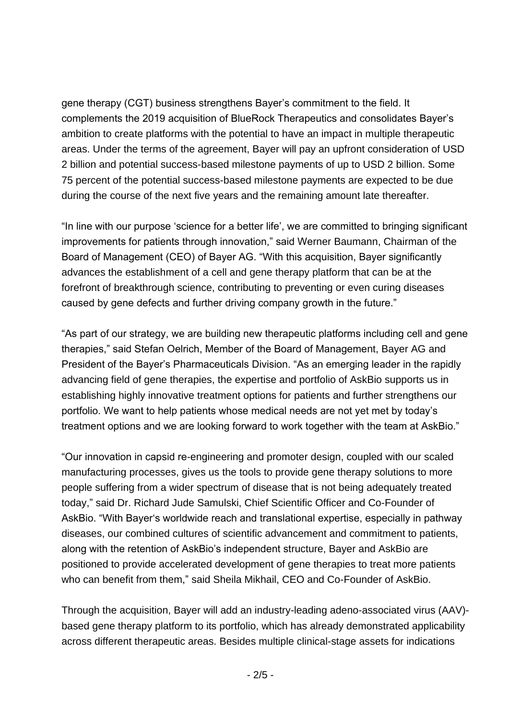gene therapy (CGT) business strengthens Bayer's commitment to the field. It complements the 2019 acquisition of BlueRock Therapeutics and consolidates Bayer's ambition to create platforms with the potential to have an impact in multiple therapeutic areas. Under the terms of the agreement, Bayer will pay an upfront consideration of USD 2 billion and potential success-based milestone payments of up to USD 2 billion. Some 75 percent of the potential success-based milestone payments are expected to be due during the course of the next five years and the remaining amount late thereafter.

"In line with our purpose 'science for a better life', we are committed to bringing significant improvements for patients through innovation," said Werner Baumann, Chairman of the Board of Management (CEO) of Bayer AG. "With this acquisition, Bayer significantly advances the establishment of a cell and gene therapy platform that can be at the forefront of breakthrough science, contributing to preventing or even curing diseases caused by gene defects and further driving company growth in the future."

"As part of our strategy, we are building new therapeutic platforms including cell and gene therapies," said Stefan Oelrich, Member of the Board of Management, Bayer AG and President of the Bayer's Pharmaceuticals Division. "As an emerging leader in the rapidly advancing field of gene therapies, the expertise and portfolio of AskBio supports us in establishing highly innovative treatment options for patients and further strengthens our portfolio. We want to help patients whose medical needs are not yet met by today's treatment options and we are looking forward to work together with the team at AskBio."

"Our innovation in capsid re-engineering and promoter design, coupled with our scaled manufacturing processes, gives us the tools to provide gene therapy solutions to more people suffering from a wider spectrum of disease that is not being adequately treated today," said Dr. Richard Jude Samulski, Chief Scientific Officer and Co-Founder of AskBio. "With Bayer's worldwide reach and translational expertise, especially in pathway diseases, our combined cultures of scientific advancement and commitment to patients, along with the retention of AskBio's independent structure, Bayer and AskBio are positioned to provide accelerated development of gene therapies to treat more patients who can benefit from them," said Sheila Mikhail, CEO and Co-Founder of AskBio.

Through the acquisition, Bayer will add an industry-leading adeno-associated virus (AAV) based gene therapy platform to its portfolio, which has already demonstrated applicability across different therapeutic areas. Besides multiple clinical-stage assets for indications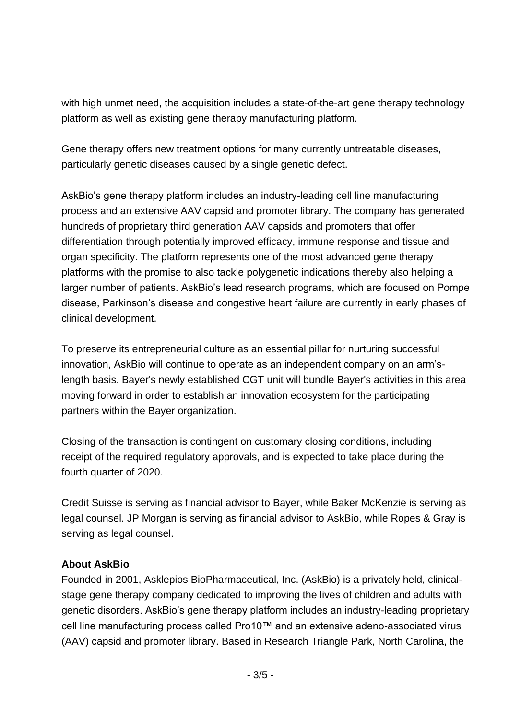with high unmet need, the acquisition includes a state-of-the-art gene therapy technology platform as well as existing gene therapy manufacturing platform.

Gene therapy offers new treatment options for many currently untreatable diseases, particularly genetic diseases caused by a single genetic defect.

AskBio's gene therapy platform includes an industry-leading cell line manufacturing process and an extensive AAV capsid and promoter library. The company has generated hundreds of proprietary third generation AAV capsids and promoters that offer differentiation through potentially improved efficacy, immune response and tissue and organ specificity. The platform represents one of the most advanced gene therapy platforms with the promise to also tackle polygenetic indications thereby also helping a larger number of patients. AskBio's lead research programs, which are focused on Pompe disease, Parkinson's disease and congestive heart failure are currently in early phases of clinical development.

To preserve its entrepreneurial culture as an essential pillar for nurturing successful innovation, AskBio will continue to operate as an independent company on an arm'slength basis. Bayer's newly established CGT unit will bundle Bayer's activities in this area moving forward in order to establish an innovation ecosystem for the participating partners within the Bayer organization.

Closing of the transaction is contingent on customary closing conditions, including receipt of the required regulatory approvals, and is expected to take place during the fourth quarter of 2020.

Credit Suisse is serving as financial advisor to Bayer, while Baker McKenzie is serving as legal counsel. JP Morgan is serving as financial advisor to AskBio, while Ropes & Gray is serving as legal counsel.

#### **About AskBio**

Founded in 2001, Asklepios BioPharmaceutical, Inc. (AskBio) is a privately held, clinicalstage gene therapy company dedicated to improving the lives of children and adults with genetic disorders. AskBio's gene therapy platform includes an industry-leading proprietary cell line manufacturing process called Pro10™ and an extensive adeno-associated virus (AAV) capsid and promoter library. Based in Research Triangle Park, North Carolina, the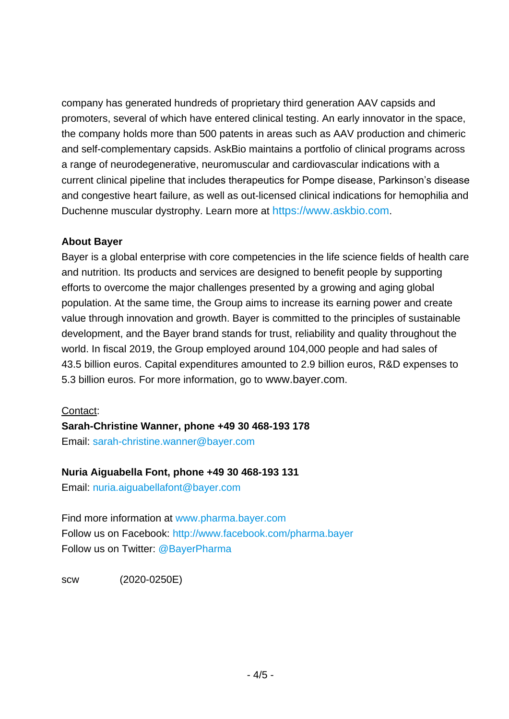company has generated hundreds of proprietary third generation AAV capsids and promoters, several of which have entered clinical testing. An early innovator in the space, the company holds more than 500 patents in areas such as AAV production and chimeric and self-complementary capsids. AskBio maintains a portfolio of clinical programs across a range of neurodegenerative, neuromuscular and cardiovascular indications with a current clinical pipeline that includes therapeutics for Pompe disease, Parkinson's disease and congestive heart failure, as well as out-licensed clinical indications for hemophilia and Duchenne muscular dystrophy. Learn more at [https://www.askbio.com](https://www.askbio.com/).

### **About Bayer**

Bayer is a global enterprise with core competencies in the life science fields of health care and nutrition. Its products and services are designed to benefit people by supporting efforts to overcome the major challenges presented by a growing and aging global population. At the same time, the Group aims to increase its earning power and create value through innovation and growth. Bayer is committed to the principles of sustainable development, and the Bayer brand stands for trust, reliability and quality throughout the world. In fiscal 2019, the Group employed around 104,000 people and had sales of 43.5 billion euros. Capital expenditures amounted to 2.9 billion euros, R&D expenses to 5.3 billion euros. For more information, go to [www.bayer.com](http://www.bayer.com/).

#### Contact:

**Sarah-Christine Wanner, phone +49 30 468-193 178**

Email: [sarah-christine.wanner@bayer.com](mailto:sarah-christine.wanner@bayer.com)

#### **Nuria Aiguabella Font, phone +49 30 468-193 131**

Email: [nuria.aiguabellafont@bayer.com](mailto:nuria.aiguabellafont@bayer.com)

Find more information at [www.pharma.bayer.com](http://www.pharma.bayer.com/) Follow us on Facebook:<http://www.facebook.com/pharma.bayer> Follow us on Twitter: [@BayerPharma](https://twitter.com/bayerpharma)

scw (2020-0250E)